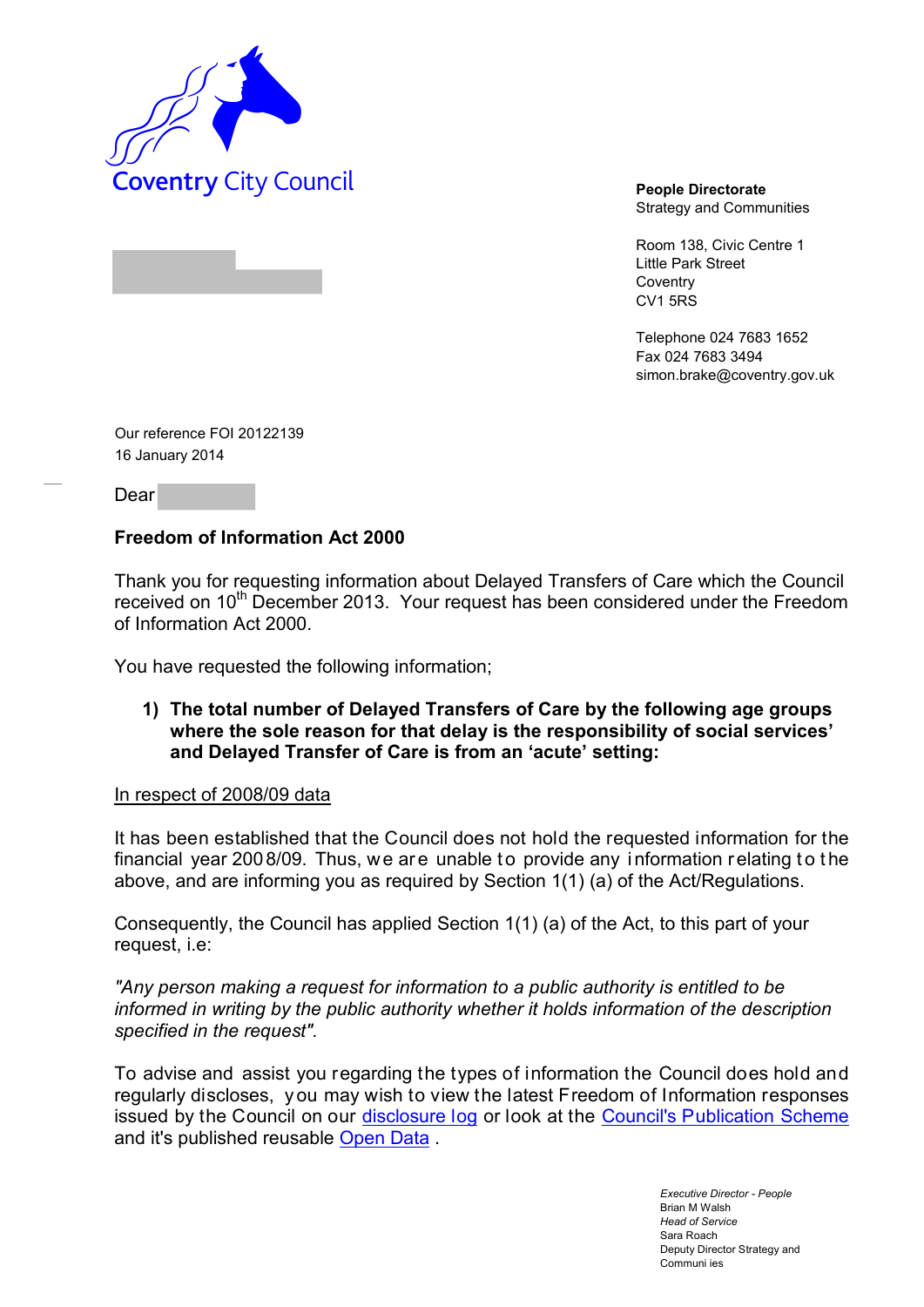

Strategy and Communities

Room 138, Civic Centre 1 Little Park Street **Coventry** CV1 5RS

Telephone 024 7683 1652 Fax 024 7683 3494 simon.brake@coventry.gov.uk

Our reference FOI 20122139 16 January 2014

Dear

### **Freedom of Information Act 2000**

Thank you for requesting information about Delayed Transfers of Care which the Council received on 10<sup>th</sup> December 2013. Your request has been considered under the Freedom of Information Act 2000.

You have requested the following information;

**1) The total number of Delayed Transfers of Care by the following age groups where the sole reason for that delay is the responsibility of social services' and Delayed Transfer of Care is from an 'acute' setting:** 

#### In respect of 2008/09 data

It has been established that the Council does not hold the requested information for the financial year 2008/09. Thus, we are unable to provide any information relating to the above, and are informing you as required by Section 1(1) (a) of the Act/Regulations.

Consequently, the Council has applied Section 1(1) (a) of the Act, to this part of your request, i.e:

*"Any person making a request for information to a public authority is entitled to be informed in writing by the public authority whether it holds information of the description specified in the request".*

To advise and assist you regarding the types of information the Council does hold and regularly discloses, y ou may wish to view the latest Freedom of Information responses issued by the Council on our disclosure log or look at the Council's Publication Scheme and it's published reusable Open Data.

> *Executive Director - People* Brian M Walsh *Head of Service* Sara Roach Deputy Director Strategy and Communi ies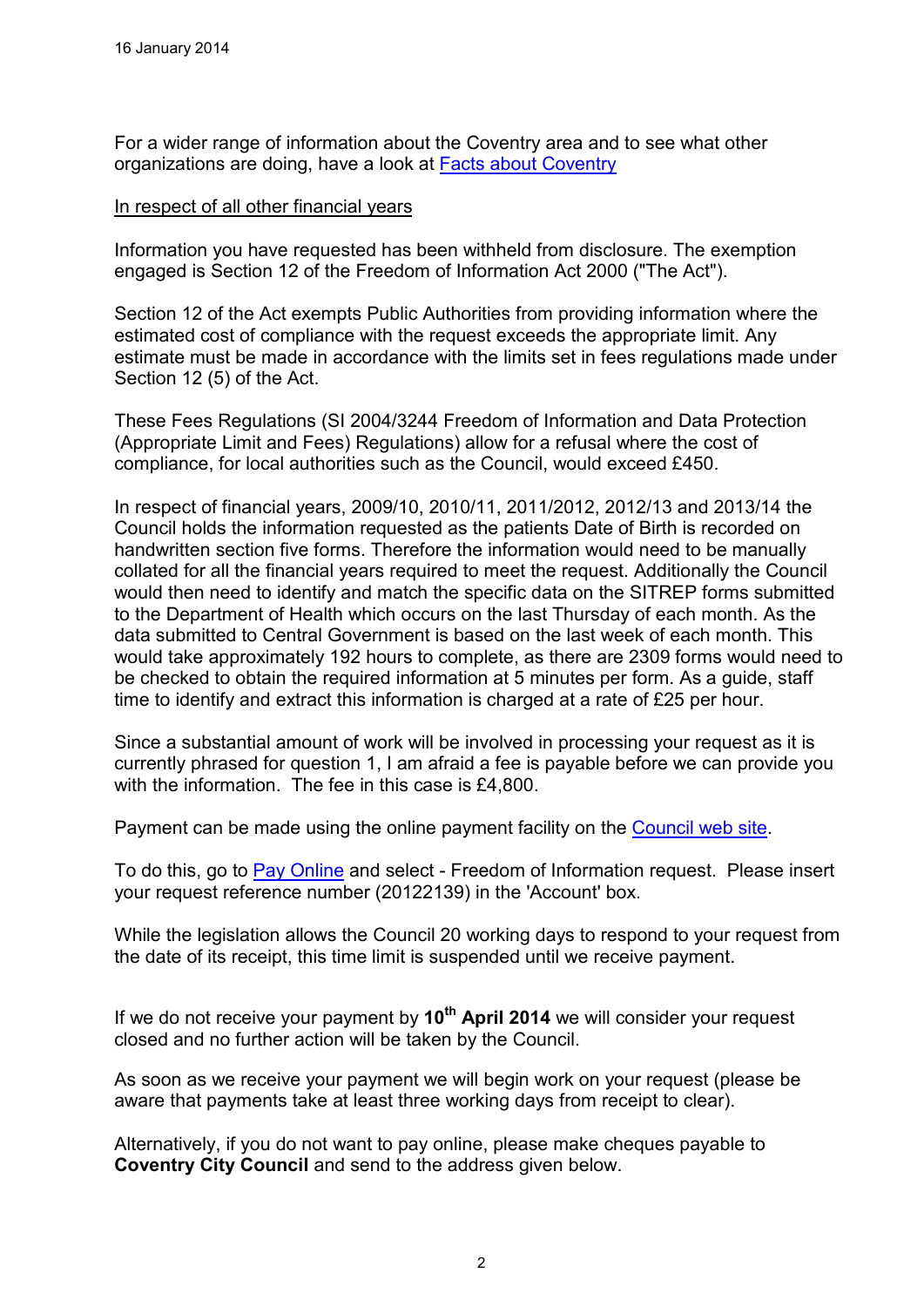For a wider range of information about the Coventry area and to see what other organizations are doing, have a look at Facts about Coventry

#### In respect of all other financial years

Information you have requested has been withheld from disclosure. The exemption engaged is Section 12 of the Freedom of Information Act 2000 ("The Act").

Section 12 of the Act exempts Public Authorities from providing information where the estimated cost of compliance with the request exceeds the appropriate limit. Any estimate must be made in accordance with the limits set in fees regulations made under Section 12 (5) of the Act.

These Fees Regulations (SI 2004/3244 Freedom of Information and Data Protection (Appropriate Limit and Fees) Regulations) allow for a refusal where the cost of compliance, for local authorities such as the Council, would exceed £450.

In respect of financial years, 2009/10, 2010/11, 2011/2012, 2012/13 and 2013/14 the Council holds the information requested as the patients Date of Birth is recorded on handwritten section five forms. Therefore the information would need to be manually collated for all the financial years required to meet the request. Additionally the Council would then need to identify and match the specific data on the SITREP forms submitted to the Department of Health which occurs on the last Thursday of each month. As the data submitted to Central Government is based on the last week of each month. This would take approximately 192 hours to complete, as there are 2309 forms would need to be checked to obtain the required information at 5 minutes per form. As a guide, staff time to identify and extract this information is charged at a rate of £25 per hour.

Since a substantial amount of work will be involved in processing your request as it is currently phrased for question 1, I am afraid a fee is payable before we can provide you with the information. The fee in this case is £4,800.

Payment can be made using the online payment facility on the Council web site.

To do this, go to Pay Online and select - Freedom of Information request. Please insert your request reference number (20122139) in the 'Account' box.

While the legislation allows the Council 20 working days to respond to your request from the date of its receipt, this time limit is suspended until we receive payment.

If we do not receive your payment by **10th April 2014** we will consider your request closed and no further action will be taken by the Council.

As soon as we receive your payment we will begin work on your request (please be aware that payments take at least three working days from receipt to clear).

Alternatively, if you do not want to pay online, please make cheques payable to **Coventry City Council** and send to the address given below.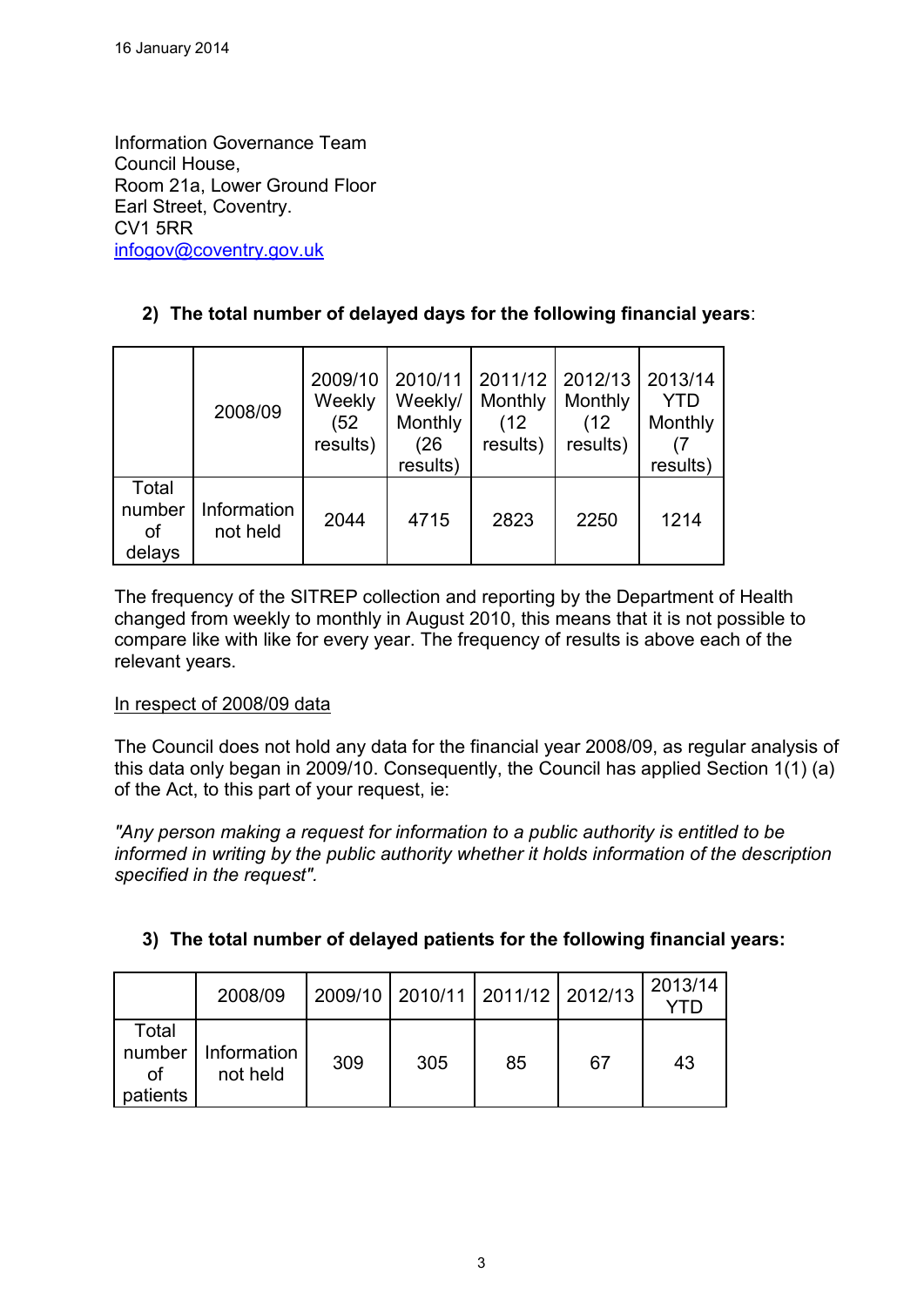Information Governance Team Council House, Room 21a, Lower Ground Floor Earl Street, Coventry. CV1 5RR infogov@coventry.gov.uk

# **2) The total number of delayed days for the following financial years**:

|                                 | 2008/09                 | 2009/10<br>Weekly<br>(52)<br>results) | 2010/11<br>Weekly/<br>Monthly<br>(26<br>results) | 2011/12<br>Monthly<br>(12<br>results) | 2012/13<br>Monthly<br>(12)<br>results) | 2013/14<br><b>YTD</b><br>Monthly<br>results) |
|---------------------------------|-------------------------|---------------------------------------|--------------------------------------------------|---------------------------------------|----------------------------------------|----------------------------------------------|
| Total<br>number<br>οf<br>delays | Information<br>not held | 2044                                  | 4715                                             | 2823                                  | 2250                                   | 1214                                         |

The frequency of the SITREP collection and reporting by the Department of Health changed from weekly to monthly in August 2010, this means that it is not possible to compare like with like for every year. The frequency of results is above each of the relevant years.

### In respect of 2008/09 data

The Council does not hold any data for the financial year 2008/09, as regular analysis of this data only began in 2009/10. Consequently, the Council has applied Section 1(1) (a) of the Act, to this part of your request, ie:

*"Any person making a request for information to a public authority is entitled to be informed in writing by the public authority whether it holds information of the description specified in the request".*

|                                          | 2008/09                 |     | 2009/10   2010/11   2011/12   2012/13 |    |    | 2013/14 |
|------------------------------------------|-------------------------|-----|---------------------------------------|----|----|---------|
| Total<br>number<br><b>of</b><br>patients | Information<br>not held | 309 | 305                                   | 85 | 67 | 43      |

# **3) The total number of delayed patients for the following financial years:**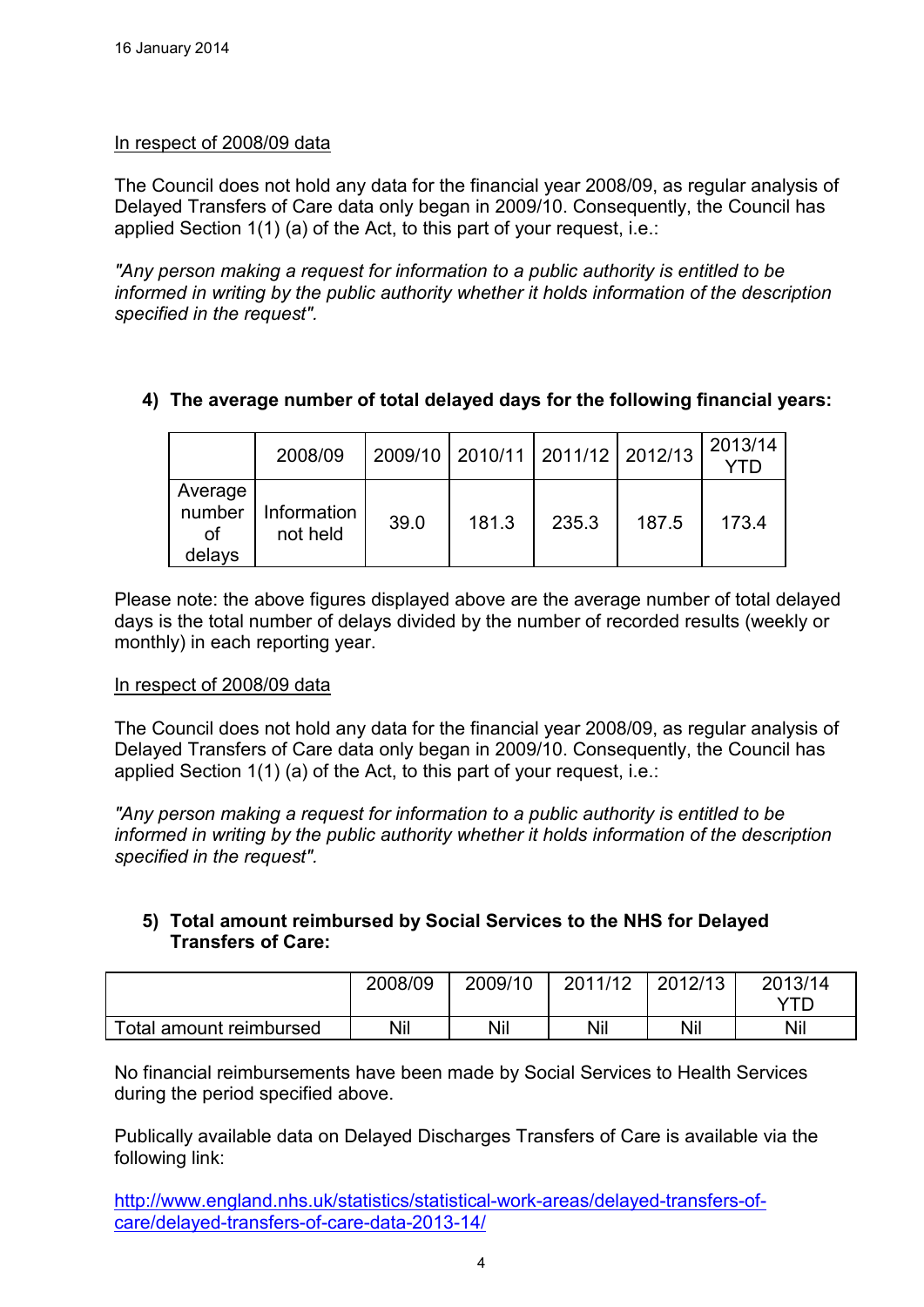## In respect of 2008/09 data

The Council does not hold any data for the financial year 2008/09, as regular analysis of Delayed Transfers of Care data only began in 2009/10. Consequently, the Council has applied Section 1(1) (a) of the Act, to this part of your request, i.e.:

*"Any person making a request for information to a public authority is entitled to be informed in writing by the public authority whether it holds information of the description specified in the request".*

# **4) The average number of total delayed days for the following financial years:**

|                                          | 2008/09                 |      | 2009/10   2010/11   2011/12   2012/13 |       |       | 2013/14 |
|------------------------------------------|-------------------------|------|---------------------------------------|-------|-------|---------|
| Average<br>number<br><b>of</b><br>delays | Information<br>not held | 39.0 | 181.3                                 | 235.3 | 187.5 | 173.4   |

Please note: the above figures displayed above are the average number of total delayed days is the total number of delays divided by the number of recorded results (weekly or monthly) in each reporting year.

### In respect of 2008/09 data

The Council does not hold any data for the financial year 2008/09, as regular analysis of Delayed Transfers of Care data only began in 2009/10. Consequently, the Council has applied Section 1(1) (a) of the Act, to this part of your request, i.e.:

*"Any person making a request for information to a public authority is entitled to be informed in writing by the public authority whether it holds information of the description specified in the request".*

### **5) Total amount reimbursed by Social Services to the NHS for Delayed Transfers of Care:**

|                         | 2008/09 | 2009/10 | 2011/12 | 2012/13 | 2013/14 |
|-------------------------|---------|---------|---------|---------|---------|
|                         |         |         |         |         |         |
| Total amount reimbursed | Nil     | Nil     | Nil     | Nil     | Nil     |

No financial reimbursements have been made by Social Services to Health Services during the period specified above.

Publically available data on Delayed Discharges Transfers of Care is available via the following link:

http://www.england.nhs.uk/statistics/statistical-work-areas/delayed-transfers-ofcare/delayed-transfers-of-care-data-2013-14/